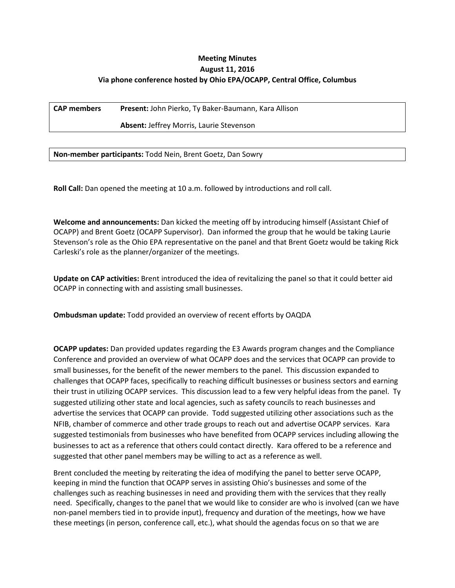## **Meeting Minutes August 11, 2016 Via phone conference hosted by Ohio EPA/OCAPP, Central Office, Columbus**

**CAP members Present:** John Pierko, Ty Baker-Baumann, Kara Allison

**Absent:** Jeffrey Morris, Laurie Stevenson

**Non-member participants:** Todd Nein, Brent Goetz, Dan Sowry

**Roll Call:** Dan opened the meeting at 10 a.m. followed by introductions and roll call.

**Welcome and announcements:** Dan kicked the meeting off by introducing himself (Assistant Chief of OCAPP) and Brent Goetz (OCAPP Supervisor). Dan informed the group that he would be taking Laurie Stevenson's role as the Ohio EPA representative on the panel and that Brent Goetz would be taking Rick Carleski's role as the planner/organizer of the meetings.

**Update on CAP activities:** Brent introduced the idea of revitalizing the panel so that it could better aid OCAPP in connecting with and assisting small businesses.

**Ombudsman update:** Todd provided an overview of recent efforts by OAQDA

**OCAPP updates:** Dan provided updates regarding the E3 Awards program changes and the Compliance Conference and provided an overview of what OCAPP does and the services that OCAPP can provide to small businesses, for the benefit of the newer members to the panel. This discussion expanded to challenges that OCAPP faces, specifically to reaching difficult businesses or business sectors and earning their trust in utilizing OCAPP services. This discussion lead to a few very helpful ideas from the panel. Ty suggested utilizing other state and local agencies, such as safety councils to reach businesses and advertise the services that OCAPP can provide. Todd suggested utilizing other associations such as the NFIB, chamber of commerce and other trade groups to reach out and advertise OCAPP services. Kara suggested testimonials from businesses who have benefited from OCAPP services including allowing the businesses to act as a reference that others could contact directly. Kara offered to be a reference and suggested that other panel members may be willing to act as a reference as well.

Brent concluded the meeting by reiterating the idea of modifying the panel to better serve OCAPP, keeping in mind the function that OCAPP serves in assisting Ohio's businesses and some of the challenges such as reaching businesses in need and providing them with the services that they really need. Specifically, changes to the panel that we would like to consider are who is involved (can we have non-panel members tied in to provide input), frequency and duration of the meetings, how we have these meetings (in person, conference call, etc.), what should the agendas focus on so that we are